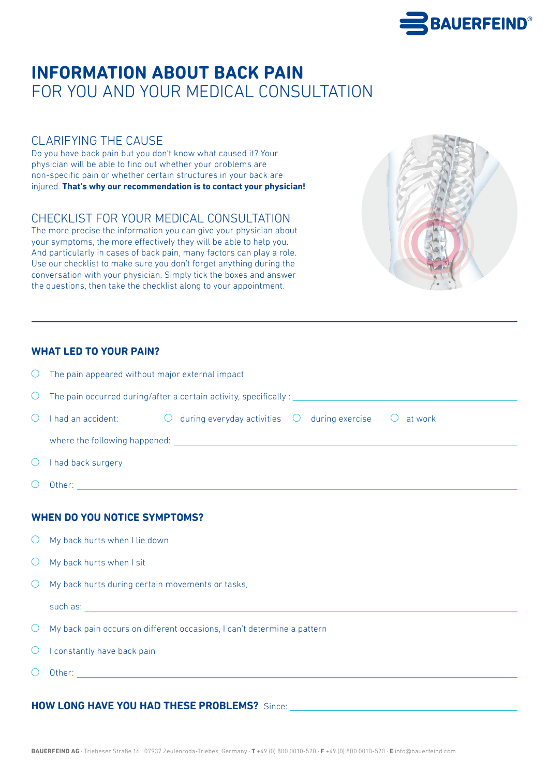

# **INFORMATION ABOUT BACK PAIN** FOR YOU AND YOUR MEDICAL CONSULTATION

## CLARIFYING THE CAUSE

Do you have back pain but you don't know what caused it? Your physician will be able to find out whether your problems are non-specific pain or whether certain structures in your back are injured. **That's why our recommendation is to contact your physician!**

## CHECKLIST FOR YOUR MEDICAL CONSULTATION

The more precise the information you can give your physician about your symptoms, the more effectively they will be able to help you. And particularly in cases of back pain, many factors can play a role. Use our checklist to make sure you don't forget anything during the conversation with your physician. Simply tick the boxes and answer the questions, then take the checklist along to your appointment.

#### **WHAT LED TO YOUR PAIN?**

| $\bigcirc$                          | The pain appeared without major external impact                                                        |  |  |  |  |
|-------------------------------------|--------------------------------------------------------------------------------------------------------|--|--|--|--|
| $\cup$                              |                                                                                                        |  |  |  |  |
| $\circlearrowright$                 | I had an accident: $\bigcirc$ during everyday activities $\bigcirc$ during exercise $\bigcirc$ at work |  |  |  |  |
|                                     |                                                                                                        |  |  |  |  |
| $\bigcirc$                          | I had back surgery                                                                                     |  |  |  |  |
| $\bigcirc$                          |                                                                                                        |  |  |  |  |
| <b>WHEN DO YOU NOTICE SYMPTOMS?</b> |                                                                                                        |  |  |  |  |
| $\bigcirc$                          | My back hurts when I lie down                                                                          |  |  |  |  |
| $\bigcirc$                          | My back hurts when I sit                                                                               |  |  |  |  |
|                                     | $\bigcirc$ My back hurts during certain movements or tasks,                                            |  |  |  |  |

such as:

- $\circlearrowright$  My back pain occurs on different occasions. I can't determine a pattern
- $\bigcirc$  I constantly have back pain
- $\bigcirc$ Other:

### **HOW LONG HAVE YOU HAD THESE PROBLEMS?** Since: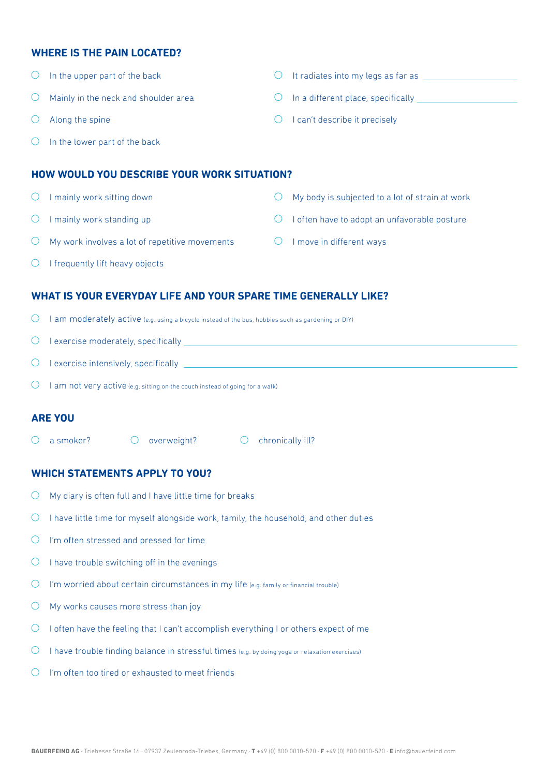#### **WHERE IS THE PAIN LOCATED?**

| $\left( \right)$                            | In the upper part of the back                  |                                             | It radiates into my legs as far as              |  |  |  |
|---------------------------------------------|------------------------------------------------|---------------------------------------------|-------------------------------------------------|--|--|--|
| $\bigcirc$                                  | Mainly in the neck and shoulder area           | $\cup$                                      | In a different place, specifically              |  |  |  |
| $\left(\right)$                             | Along the spine                                | $\left(\begin{array}{c} \end{array}\right)$ | I can't describe it precisely                   |  |  |  |
| $\left( \right)$                            | In the lower part of the back                  |                                             |                                                 |  |  |  |
| HOW WOULD YOU DESCRIBE YOUR WORK SITUATION? |                                                |                                             |                                                 |  |  |  |
| $\left( \right)$                            | I mainly work sitting down                     |                                             | My body is subjected to a lot of strain at work |  |  |  |
| $\left( \right)$                            | mainly work standing up                        |                                             | often have to adopt an unfavorable posture      |  |  |  |
| $\left( \right)$                            | My work involves a lot of repetitive movements |                                             | I move in different ways                        |  |  |  |
| $\bigcirc$                                  | I frequently lift heavy objects                |                                             |                                                 |  |  |  |

#### **WHAT IS YOUR EVERYDAY LIFE AND YOUR SPARE TIME GENERALLY LIKE?**

| $\bigcirc$ <b>lam moderately active</b> (e.g. using a bicycle instead of the bus, hobbies such as gardening or DIY) |  |
|---------------------------------------------------------------------------------------------------------------------|--|
|---------------------------------------------------------------------------------------------------------------------|--|

 $\bigcirc$  I exercise moderately, specifically

|  | I exercise intensively, specifically |
|--|--------------------------------------|
|  |                                      |
|  |                                      |

 $\bigcirc$  I am not very active (e.g. sitting on the couch instead of going for a walk)

#### **ARE YOU**

 $\overline{O}$  a smoker?  $\overline{O}$  overweight?  $\overline{O}$  chronically ill?

#### **WHICH STATEMENTS APPLY TO YOU?**

- My diary is often full and I have little time for breaks  $\bigcirc$
- $\circ$  I have little time for myself alongside work, family, the household, and other duties
- $\bigcirc$  I'm often stressed and pressed for time
- $\circ$  I have trouble switching off in the evenings
- $\bigcirc$  I'm worried about certain circumstances in my life (e.g. family or financial trouble)
- $\bigcirc$  My works causes more stress than joy
- $\circ$  I often have the feeling that I can't accomplish everything I or others expect of me
- $\bigcirc$ I have trouble finding balance in stressful times (e.g. by doing yoga or relaxation exercises)
- $\bigcirc$ I'm often too tired or exhausted to meet friends